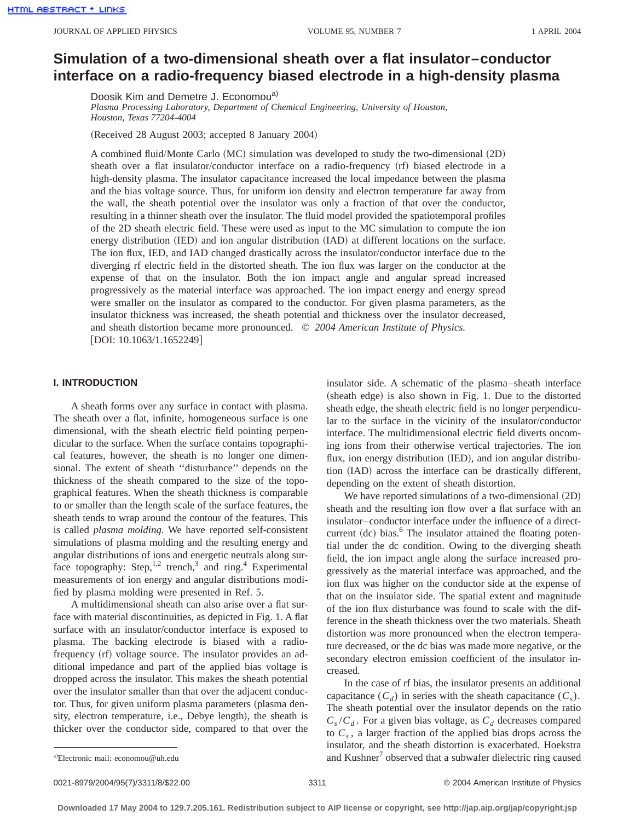# **Simulation of a two-dimensional sheath over a flat insulator–conductor interface on a radio-frequency biased electrode in a high-density plasma**

Doosik Kim and Demetre J. Economou<sup>a)</sup>

*Plasma Processing Laboratory, Department of Chemical Engineering, University of Houston, Houston, Texas 77204-4004*

(Received 28 August 2003; accepted 8 January 2004)

A combined fluid/Monte Carlo (MC) simulation was developed to study the two-dimensional (2D) sheath over a flat insulator/conductor interface on a radio-frequency (rf) biased electrode in a high-density plasma. The insulator capacitance increased the local impedance between the plasma and the bias voltage source. Thus, for uniform ion density and electron temperature far away from the wall, the sheath potential over the insulator was only a fraction of that over the conductor, resulting in a thinner sheath over the insulator. The fluid model provided the spatiotemporal profiles of the 2D sheath electric field. These were used as input to the MC simulation to compute the ion energy distribution (IED) and ion angular distribution (IAD) at different locations on the surface. The ion flux, IED, and IAD changed drastically across the insulator/conductor interface due to the diverging rf electric field in the distorted sheath. The ion flux was larger on the conductor at the expense of that on the insulator. Both the ion impact angle and angular spread increased progressively as the material interface was approached. The ion impact energy and energy spread were smaller on the insulator as compared to the conductor. For given plasma parameters, as the insulator thickness was increased, the sheath potential and thickness over the insulator decreased, and sheath distortion became more pronounced. © *2004 American Institute of Physics.*  $[$ DOI: 10.1063/1.1652249 $]$ 

#### **I. INTRODUCTION**

A sheath forms over any surface in contact with plasma. The sheath over a flat, infinite, homogeneous surface is one dimensional, with the sheath electric field pointing perpendicular to the surface. When the surface contains topographical features, however, the sheath is no longer one dimensional. The extent of sheath ''disturbance'' depends on the thickness of the sheath compared to the size of the topographical features. When the sheath thickness is comparable to or smaller than the length scale of the surface features, the sheath tends to wrap around the contour of the features. This is called *plasma molding*. We have reported self-consistent simulations of plasma molding and the resulting energy and angular distributions of ions and energetic neutrals along surface topography: Step,<sup>1,2</sup> trench,<sup>3</sup> and ring.<sup>4</sup> Experimental measurements of ion energy and angular distributions modified by plasma molding were presented in Ref. 5.

A multidimensional sheath can also arise over a flat surface with material discontinuities, as depicted in Fig. 1. A flat surface with an insulator/conductor interface is exposed to plasma. The backing electrode is biased with a radiofrequency (rf) voltage source. The insulator provides an additional impedance and part of the applied bias voltage is dropped across the insulator. This makes the sheath potential over the insulator smaller than that over the adjacent conductor. Thus, for given uniform plasma parameters (plasma density, electron temperature, i.e., Debye length), the sheath is thicker over the conductor side, compared to that over the insulator side. A schematic of the plasma–sheath interface (sheath edge) is also shown in Fig. 1. Due to the distorted sheath edge, the sheath electric field is no longer perpendicular to the surface in the vicinity of the insulator/conductor interface. The multidimensional electric field diverts oncoming ions from their otherwise vertical trajectories. The ion flux, ion energy distribution (IED), and ion angular distribution (IAD) across the interface can be drastically different, depending on the extent of sheath distortion.

We have reported simulations of a two-dimensional (2D) sheath and the resulting ion flow over a flat surface with an insulator–conductor interface under the influence of a directcurrent  $~$  (dc) bias.<sup>6</sup> The insulator attained the floating potential under the dc condition. Owing to the diverging sheath field, the ion impact angle along the surface increased progressively as the material interface was approached, and the ion flux was higher on the conductor side at the expense of that on the insulator side. The spatial extent and magnitude of the ion flux disturbance was found to scale with the difference in the sheath thickness over the two materials. Sheath distortion was more pronounced when the electron temperature decreased, or the dc bias was made more negative, or the secondary electron emission coefficient of the insulator increased.

In the case of rf bias, the insulator presents an additional capacitance  $(C_d)$  in series with the sheath capacitance  $(C_s)$ . The sheath potential over the insulator depends on the ratio  $C_s/C_d$ . For a given bias voltage, as  $C_d$  decreases compared to  $C_s$ , a larger fraction of the applied bias drops across the insulator, and the sheath distortion is exacerbated. Hoekstra and Kushner<sup>7</sup> observed that a subwafer dielectric ring caused

0021-8979/2004/95(7)/3311/8/\$22.00 © 2004 American Institute of Physics 3311

Electronic mail: economou@uh.edu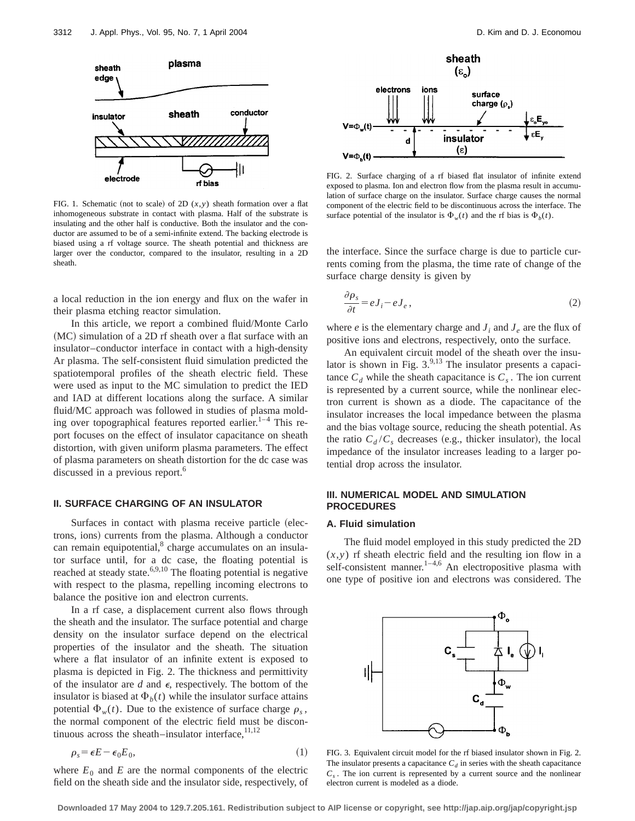

FIG. 1. Schematic (not to scale) of 2D  $(x, y)$  sheath formation over a flat inhomogeneous substrate in contact with plasma. Half of the substrate is insulating and the other half is conductive. Both the insulator and the conductor are assumed to be of a semi-infinite extend. The backing electrode is biased using a rf voltage source. The sheath potential and thickness are larger over the conductor, compared to the insulator, resulting in a 2D sheath.

a local reduction in the ion energy and flux on the wafer in their plasma etching reactor simulation.

In this article, we report a combined fluid/Monte Carlo  $(MC)$  simulation of a 2D rf sheath over a flat surface with an insulator–conductor interface in contact with a high-density Ar plasma. The self-consistent fluid simulation predicted the spatiotemporal profiles of the sheath electric field. These were used as input to the MC simulation to predict the IED and IAD at different locations along the surface. A similar fluid/MC approach was followed in studies of plasma molding over topographical features reported earlier.<sup>1–4</sup> This report focuses on the effect of insulator capacitance on sheath distortion, with given uniform plasma parameters. The effect of plasma parameters on sheath distortion for the dc case was discussed in a previous report.<sup>6</sup>

#### **II. SURFACE CHARGING OF AN INSULATOR**

Surfaces in contact with plasma receive particle (electrons, ions) currents from the plasma. Although a conductor can remain equipotential, $\delta$  charge accumulates on an insulator surface until, for a dc case, the floating potential is reached at steady state.<sup>6,9,10</sup> The floating potential is negative with respect to the plasma, repelling incoming electrons to balance the positive ion and electron currents.

In a rf case, a displacement current also flows through the sheath and the insulator. The surface potential and charge density on the insulator surface depend on the electrical properties of the insulator and the sheath. The situation where a flat insulator of an infinite extent is exposed to plasma is depicted in Fig. 2. The thickness and permittivity of the insulator are  $d$  and  $\epsilon$ , respectively. The bottom of the insulator is biased at  $\Phi_h(t)$  while the insulator surface attains potential  $\Phi_w(t)$ . Due to the existence of surface charge  $\rho_s$ , the normal component of the electric field must be discontinuous across the sheath–insulator interface, $^{11,12}$ 

$$
\rho_s = \epsilon E - \epsilon_0 E_0,\tag{1}
$$

where  $E_0$  and  $E$  are the normal components of the electric field on the sheath side and the insulator side, respectively, of



FIG. 2. Surface charging of a rf biased flat insulator of infinite extend exposed to plasma. Ion and electron flow from the plasma result in accumulation of surface charge on the insulator. Surface charge causes the normal component of the electric field to be discontinuous across the interface. The surface potential of the insulator is  $\Phi_w(t)$  and the rf bias is  $\Phi_b(t)$ .

the interface. Since the surface charge is due to particle currents coming from the plasma, the time rate of change of the surface charge density is given by

$$
\frac{\partial \rho_s}{\partial t} = eJ_i - eJ_e, \qquad (2)
$$

where  $e$  is the elementary charge and  $J_i$  and  $J_e$  are the flux of positive ions and electrons, respectively, onto the surface.

An equivalent circuit model of the sheath over the insulator is shown in Fig.  $3.^{9,13}$  The insulator presents a capacitance  $C_d$  while the sheath capacitance is  $C_s$ . The ion current is represented by a current source, while the nonlinear electron current is shown as a diode. The capacitance of the insulator increases the local impedance between the plasma and the bias voltage source, reducing the sheath potential. As the ratio  $C_d/C_s$  decreases (e.g., thicker insulator), the local impedance of the insulator increases leading to a larger potential drop across the insulator.

## **III. NUMERICAL MODEL AND SIMULATION PROCEDURES**

#### **A. Fluid simulation**

The fluid model employed in this study predicted the 2D  $(x, y)$  rf sheath electric field and the resulting ion flow in a self-consistent manner.<sup>1–4,6</sup> An electropositive plasma with one type of positive ion and electrons was considered. The



FIG. 3. Equivalent circuit model for the rf biased insulator shown in Fig. 2. The insulator presents a capacitance  $C_d$  in series with the sheath capacitance  $C_s$ . The ion current is represented by a current source and the nonlinear electron current is modeled as a diode.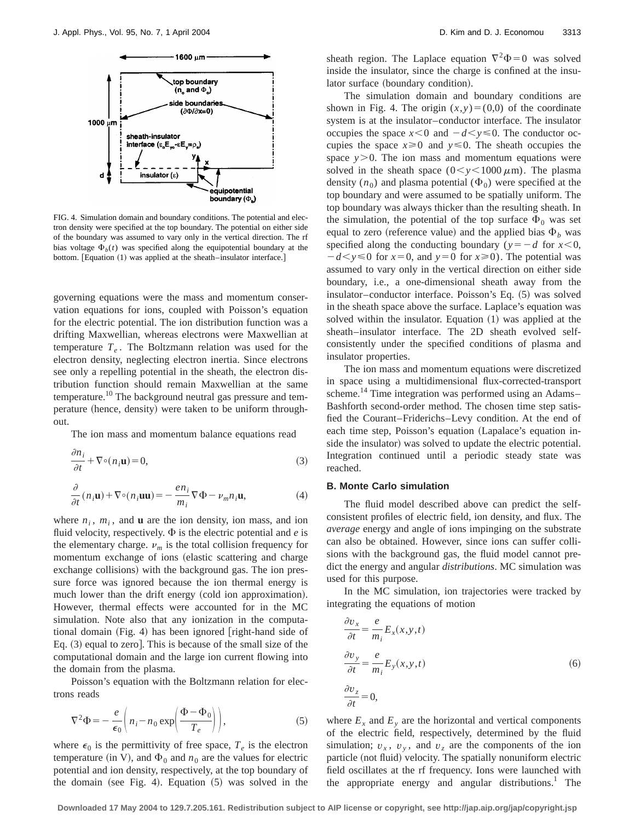

FIG. 4. Simulation domain and boundary conditions. The potential and electron density were specified at the top boundary. The potential on either side of the boundary was assumed to vary only in the vertical direction. The rf bias voltage  $\Phi_b(t)$  was specified along the equipotential boundary at the bottom. [Equation (1) was applied at the sheath–insulator interface.]

governing equations were the mass and momentum conservation equations for ions, coupled with Poisson's equation for the electric potential. The ion distribution function was a drifting Maxwellian, whereas electrons were Maxwellian at temperature  $T_e$ . The Boltzmann relation was used for the electron density, neglecting electron inertia. Since electrons see only a repelling potential in the sheath, the electron distribution function should remain Maxwellian at the same temperature.<sup>10</sup> The background neutral gas pressure and temperature (hence, density) were taken to be uniform throughout.

The ion mass and momentum balance equations read

$$
\frac{\partial n_i}{\partial t} + \nabla \circ (n_i \mathbf{u}) = 0,\tag{3}
$$

$$
\frac{\partial}{\partial t}(n_i \mathbf{u}) + \nabla \circ (n_i \mathbf{u} \mathbf{u}) = -\frac{en_i}{m_i} \nabla \Phi - \nu_m n_i \mathbf{u},\tag{4}
$$

where  $n_i$ ,  $m_i$ , and **u** are the ion density, ion mass, and ion fluid velocity, respectively.  $\Phi$  is the electric potential and *e* is the elementary charge.  $\nu_m$  is the total collision frequency for momentum exchange of ions (elastic scattering and charge exchange collisions) with the background gas. The ion pressure force was ignored because the ion thermal energy is much lower than the drift energy (cold ion approximation). However, thermal effects were accounted for in the MC simulation. Note also that any ionization in the computational domain  $(Fig. 4)$  has been ignored  $[right$ -hand side of Eq.  $(3)$  equal to zero]. This is because of the small size of the computational domain and the large ion current flowing into the domain from the plasma.

Poisson's equation with the Boltzmann relation for electrons reads

$$
\nabla^2 \Phi = -\frac{e}{\epsilon_0} \left( n_i - n_0 \exp\left( \frac{\Phi - \Phi_0}{T_e} \right) \right),\tag{5}
$$

where  $\epsilon_0$  is the permittivity of free space,  $T_e$  is the electron temperature (in V), and  $\Phi_0$  and  $n_0$  are the values for electric potential and ion density, respectively, at the top boundary of the domain (see Fig. 4). Equation  $(5)$  was solved in the sheath region. The Laplace equation  $\nabla^2\Phi=0$  was solved inside the insulator, since the charge is confined at the insulator surface (boundary condition).

The simulation domain and boundary conditions are shown in Fig. 4. The origin  $(x,y)=(0,0)$  of the coordinate system is at the insulator–conductor interface. The insulator occupies the space  $x \le 0$  and  $-d \le y \le 0$ . The conductor occupies the space  $x \ge 0$  and  $y \le 0$ . The sheath occupies the space  $y > 0$ . The ion mass and momentum equations were solved in the sheath space  $(0 < y < 1000 \,\mu\text{m})$ . The plasma density  $(n_0)$  and plasma potential  $(\Phi_0)$  were specified at the top boundary and were assumed to be spatially uniform. The top boundary was always thicker than the resulting sheath. In the simulation, the potential of the top surface  $\Phi_0$  was set equal to zero (reference value) and the applied bias  $\Phi_b$  was specified along the conducting boundary ( $y=-d$  for  $x<0$ ,  $-d < y \le 0$  for  $x=0$ , and  $y=0$  for  $x \ge 0$ ). The potential was assumed to vary only in the vertical direction on either side boundary, i.e., a one-dimensional sheath away from the insulator–conductor interface. Poisson's Eq.  $(5)$  was solved in the sheath space above the surface. Laplace's equation was solved within the insulator. Equation  $(1)$  was applied at the sheath–insulator interface. The 2D sheath evolved selfconsistently under the specified conditions of plasma and insulator properties.

The ion mass and momentum equations were discretized in space using a multidimensional flux-corrected-transport scheme.<sup>14</sup> Time integration was performed using an Adams– Bashforth second-order method. The chosen time step satisfied the Courant–Friderichs–Levy condition. At the end of each time step, Poisson's equation (Lapalace's equation inside the insulator) was solved to update the electric potential. Integration continued until a periodic steady state was reached.

### **B. Monte Carlo simulation**

The fluid model described above can predict the selfconsistent profiles of electric field, ion density, and flux. The *average* energy and angle of ions impinging on the substrate can also be obtained. However, since ions can suffer collisions with the background gas, the fluid model cannot predict the energy and angular *distributions*. MC simulation was used for this purpose.

In the MC simulation, ion trajectories were tracked by integrating the equations of motion

$$
\frac{\partial v_x}{\partial t} = \frac{e}{m_i} E_x(x, y, t)
$$
  

$$
\frac{\partial v_y}{\partial t} = \frac{e}{m_i} E_y(x, y, t)
$$
  

$$
\frac{\partial v_z}{\partial t} = 0,
$$
 (6)

where  $E<sub>x</sub>$  and  $E<sub>y</sub>$  are the horizontal and vertical components of the electric field, respectively, determined by the fluid simulation;  $v_x$ ,  $v_y$ , and  $v_z$  are the components of the ion particle (not fluid) velocity. The spatially nonuniform electric field oscillates at the rf frequency. Ions were launched with the appropriate energy and angular distributions.<sup>1</sup> The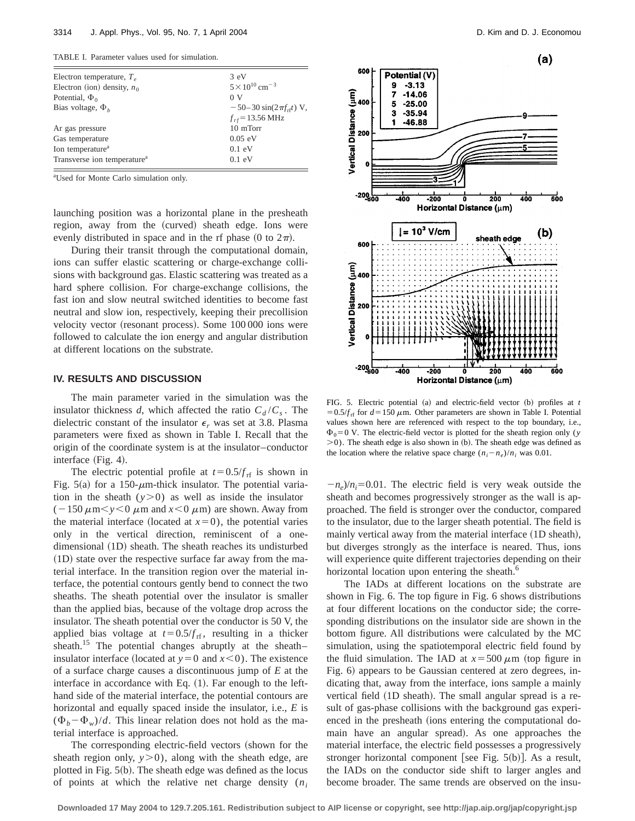TABLE I. Parameter values used for simulation.

| $3 \text{ eV}$                       |
|--------------------------------------|
| $5 \times 10^{10}$ cm <sup>-3</sup>  |
| 0 <sub>V</sub>                       |
| $-50-30 \sin(2\pi f_{\text{rf}})$ V, |
| $f_{rf}$ = 13.56 MHz                 |
| 10 mTorr                             |
| $0.05$ eV                            |
| $0.1$ eV                             |
| $0.1$ eV                             |
|                                      |

a Used for Monte Carlo simulation only.

launching position was a horizontal plane in the presheath region, away from the (curved) sheath edge. Ions were evenly distributed in space and in the rf phase  $(0 \text{ to } 2\pi)$ .

During their transit through the computational domain, ions can suffer elastic scattering or charge-exchange collisions with background gas. Elastic scattering was treated as a hard sphere collision. For charge-exchange collisions, the fast ion and slow neutral switched identities to become fast neutral and slow ion, respectively, keeping their precollision velocity vector (resonant process). Some 100 000 ions were followed to calculate the ion energy and angular distribution at different locations on the substrate.

#### **IV. RESULTS AND DISCUSSION**

The main parameter varied in the simulation was the insulator thickness *d*, which affected the ratio  $C_d/C_s$ . The dielectric constant of the insulator  $\epsilon_r$  was set at 3.8. Plasma parameters were fixed as shown in Table I. Recall that the origin of the coordinate system is at the insulator–conductor interface  $(Fig. 4)$ .

The electric potential profile at  $t=0.5/f_{\text{rf}}$  is shown in Fig. 5(a) for a 150- $\mu$ m-thick insulator. The potential variation in the sheath  $(y>0)$  as well as inside the insulator  $(-150 \,\mu\text{m} < y < 0 \,\mu\text{m}$  and  $x < 0 \,\mu\text{m}$ ) are shown. Away from the material interface (located at  $x=0$ ), the potential varies only in the vertical direction, reminiscent of a onedimensional (1D) sheath. The sheath reaches its undisturbed  $(1D)$  state over the respective surface far away from the material interface. In the transition region over the material interface, the potential contours gently bend to connect the two sheaths. The sheath potential over the insulator is smaller than the applied bias, because of the voltage drop across the insulator. The sheath potential over the conductor is 50 V, the applied bias voltage at  $t=0.5/f_{\text{rf}}$ , resulting in a thicker sheath.<sup>15</sup> The potential changes abruptly at the sheath– insulator interface (located at  $y=0$  and  $x<0$ ). The existence of a surface charge causes a discontinuous jump of *E* at the interface in accordance with Eq.  $(1)$ . Far enough to the lefthand side of the material interface, the potential contours are horizontal and equally spaced inside the insulator, i.e., *E* is  $(\Phi_b - \Phi_w)/d$ . This linear relation does not hold as the material interface is approached.

The corresponding electric-field vectors (shown for the sheath region only,  $y>0$ ), along with the sheath edge, are plotted in Fig.  $5(b)$ . The sheath edge was defined as the locus of points at which the relative net charge density (*ni*



FIG. 5. Electric potential  $(a)$  and electric-field vector  $(b)$  profiles at  $t$  $=0.5/f_{\text{rf}}$  for  $d=150 \mu \text{m}$ . Other parameters are shown in Table I. Potential values shown here are referenced with respect to the top boundary, i.e.,  $\Phi_0 = 0$  V. The electric-field vector is plotted for the sheath region only (*y*  $>$ 0). The sheath edge is also shown in (b). The sheath edge was defined as the location where the relative space charge  $(n_i - n_e)/n_i$  was 0.01.

 $-n_e$ / $n_i$ =0.01. The electric field is very weak outside the sheath and becomes progressively stronger as the wall is approached. The field is stronger over the conductor, compared to the insulator, due to the larger sheath potential. The field is mainly vertical away from the material interface  $(1D$  sheath), but diverges strongly as the interface is neared. Thus, ions will experience quite different trajectories depending on their horizontal location upon entering the sheath.<sup>6</sup>

The IADs at different locations on the substrate are shown in Fig. 6. The top figure in Fig. 6 shows distributions at four different locations on the conductor side; the corresponding distributions on the insulator side are shown in the bottom figure. All distributions were calculated by the MC simulation, using the spatiotemporal electric field found by the fluid simulation. The IAD at  $x = 500 \mu m$  (top figure in Fig. 6) appears to be Gaussian centered at zero degrees, indicating that, away from the interface, ions sample a mainly vertical field (1D sheath). The small angular spread is a result of gas-phase collisions with the background gas experienced in the presheath (ions entering the computational domain have an angular spread). As one approaches the material interface, the electric field possesses a progressively stronger horizontal component [see Fig.  $5(b)$ ]. As a result, the IADs on the conductor side shift to larger angles and become broader. The same trends are observed on the insu-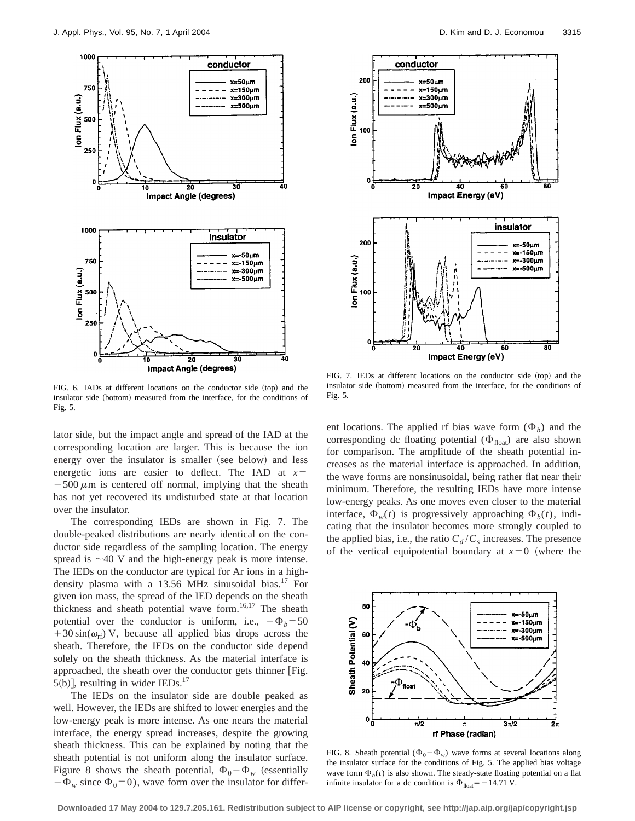

FIG. 6. IADs at different locations on the conductor side (top) and the insulator side (bottom) measured from the interface, for the conditions of Fig. 5.

lator side, but the impact angle and spread of the IAD at the corresponding location are larger. This is because the ion energy over the insulator is smaller (see below) and less energetic ions are easier to deflect. The IAD at  $x=$  $-500 \mu m$  is centered off normal, implying that the sheath has not yet recovered its undisturbed state at that location over the insulator.

The corresponding IEDs are shown in Fig. 7. The double-peaked distributions are nearly identical on the conductor side regardless of the sampling location. The energy spread is  $\sim$ 40 V and the high-energy peak is more intense. The IEDs on the conductor are typical for Ar ions in a highdensity plasma with a 13.56 MHz sinusoidal bias.<sup>17</sup> For given ion mass, the spread of the IED depends on the sheath thickness and sheath potential wave form. $16,17$  The sheath potential over the conductor is uniform, i.e.,  $-\Phi_b=50$  $+30 \sin(\omega_{\text{rf}})$  V, because all applied bias drops across the sheath. Therefore, the IEDs on the conductor side depend solely on the sheath thickness. As the material interface is approached, the sheath over the conductor gets thinner [Fig.  $5(b)$ ], resulting in wider IEDs.<sup>17</sup>

The IEDs on the insulator side are double peaked as well. However, the IEDs are shifted to lower energies and the low-energy peak is more intense. As one nears the material interface, the energy spread increases, despite the growing sheath thickness. This can be explained by noting that the sheath potential is not uniform along the insulator surface. Figure 8 shows the sheath potential,  $\Phi_0 - \Phi_w$  (essentially  $-\Phi_w$  since  $\Phi_0=0$ ), wave form over the insulator for differ-



FIG. 7. IEDs at different locations on the conductor side (top) and the insulator side (bottom) measured from the interface, for the conditions of Fig. 5.

ent locations. The applied rf bias wave form  $(\Phi_b)$  and the corresponding dc floating potential  $(\Phi_{\text{float}})$  are also shown for comparison. The amplitude of the sheath potential increases as the material interface is approached. In addition, the wave forms are nonsinusoidal, being rather flat near their minimum. Therefore, the resulting IEDs have more intense low-energy peaks. As one moves even closer to the material interface,  $\Phi_w(t)$  is progressively approaching  $\Phi_b(t)$ , indicating that the insulator becomes more strongly coupled to the applied bias, i.e., the ratio  $C_d/C_s$  increases. The presence of the vertical equipotential boundary at  $x=0$  (where the



FIG. 8. Sheath potential  $(\Phi_0 - \Phi_w)$  wave forms at several locations along the insulator surface for the conditions of Fig. 5. The applied bias voltage wave form  $\Phi_b(t)$  is also shown. The steady-state floating potential on a flat infinite insulator for a dc condition is  $\Phi_{\text{float}} = -14.71 \text{ V}$ .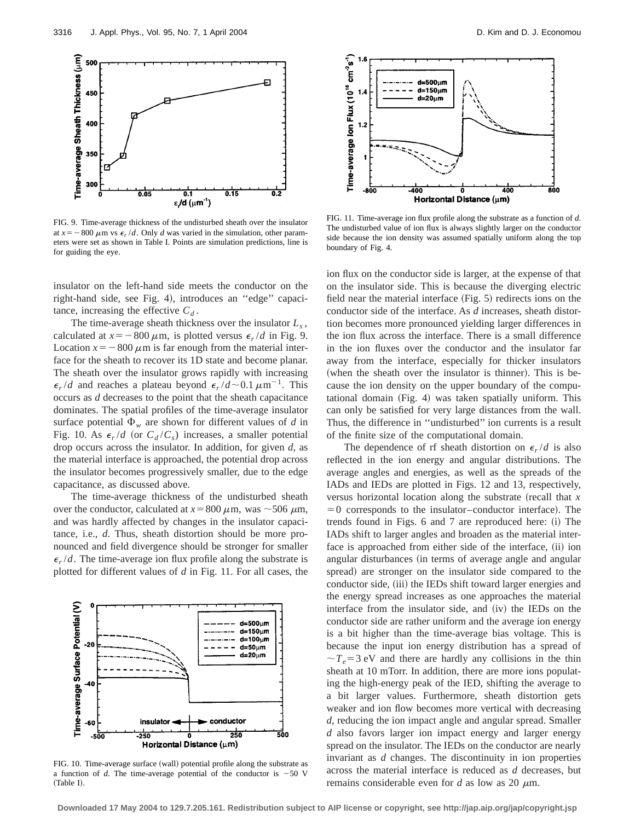

FIG. 9. Time-average thickness of the undisturbed sheath over the insulator at  $x = -800 \mu m$  vs  $\epsilon_r / d$ . Only *d* was varied in the simulation, other parameters were set as shown in Table I. Points are simulation predictions, line is for guiding the eye.

insulator on the left-hand side meets the conductor on the right-hand side, see Fig. 4), introduces an "edge" capacitance, increasing the effective  $C_d$ .

The time-average sheath thickness over the insulator *Ls* , calculated at  $x = -800 \mu \text{m}$ , is plotted versus  $\epsilon_r / d$  in Fig. 9. Location  $x = -800 \mu m$  is far enough from the material interface for the sheath to recover its 1D state and become planar. The sheath over the insulator grows rapidly with increasing  $\epsilon_r/d$  and reaches a plateau beyond  $\epsilon_r/d \sim 0.1 \ \mu m^{-1}$ . This occurs as *d* decreases to the point that the sheath capacitance dominates. The spatial profiles of the time-average insulator surface potential  $\Phi_w$  are shown for different values of *d* in Fig. 10. As  $\epsilon_r/d$  (or  $C_d/C_s$ ) increases, a smaller potential drop occurs across the insulator. In addition, for given *d*, as the material interface is approached, the potential drop across the insulator becomes progressively smaller, due to the edge capacitance, as discussed above.

The time-average thickness of the undisturbed sheath over the conductor, calculated at  $x = 800 \mu \text{m}$ , was  $\sim 506 \mu \text{m}$ , and was hardly affected by changes in the insulator capacitance, i.e., *d*. Thus, sheath distortion should be more pronounced and field divergence should be stronger for smaller  $\epsilon_r/d$ . The time-average ion flux profile along the substrate is plotted for different values of *d* in Fig. 11. For all cases, the



FIG. 10. Time-average surface (wall) potential profile along the substrate as a function of  $d$ . The time-average potential of the conductor is  $-50$  V  $(Table I).$ 



FIG. 11. Time-average ion flux profile along the substrate as a function of *d*. The undisturbed value of ion flux is always slightly larger on the conductor side because the ion density was assumed spatially uniform along the top boundary of Fig. 4.

ion flux on the conductor side is larger, at the expense of that on the insulator side. This is because the diverging electric field near the material interface  $(Fig. 5)$  redirects ions on the conductor side of the interface. As *d* increases, sheath distortion becomes more pronounced yielding larger differences in the ion flux across the interface. There is a small difference in the ion fluxes over the conductor and the insulator far away from the interface, especially for thicker insulators (when the sheath over the insulator is thinner). This is because the ion density on the upper boundary of the computational domain  $(Fig. 4)$  was taken spatially uniform. This can only be satisfied for very large distances from the wall. Thus, the difference in ''undisturbed'' ion currents is a result of the finite size of the computational domain.

The dependence of rf sheath distortion on  $\epsilon_r/d$  is also reflected in the ion energy and angular distributions. The average angles and energies, as well as the spreads of the IADs and IEDs are plotted in Figs. 12 and 13, respectively, versus horizontal location along the substrate (recall that  $x$  $=0$  corresponds to the insulator–conductor interface). The trends found in Figs.  $6$  and  $7$  are reproduced here:  $(i)$  The IADs shift to larger angles and broaden as the material interface is approached from either side of the interface, (ii) ion angular disturbances (in terms of average angle and angular spread) are stronger on the insulator side compared to the conductor side, (iii) the IEDs shift toward larger energies and the energy spread increases as one approaches the material interface from the insulator side, and  $(iv)$  the IEDs on the conductor side are rather uniform and the average ion energy is a bit higher than the time-average bias voltage. This is because the input ion energy distribution has a spread of  $\sim T_e = 3$  eV and there are hardly any collisions in the thin sheath at 10 mTorr. In addition, there are more ions populating the high-energy peak of the IED, shifting the average to a bit larger values. Furthermore, sheath distortion gets weaker and ion flow becomes more vertical with decreasing *d*, reducing the ion impact angle and angular spread. Smaller *d* also favors larger ion impact energy and larger energy spread on the insulator. The IEDs on the conductor are nearly invariant as *d* changes. The discontinuity in ion properties across the material interface is reduced as *d* decreases, but remains considerable even for *d* as low as 20  $\mu$ m.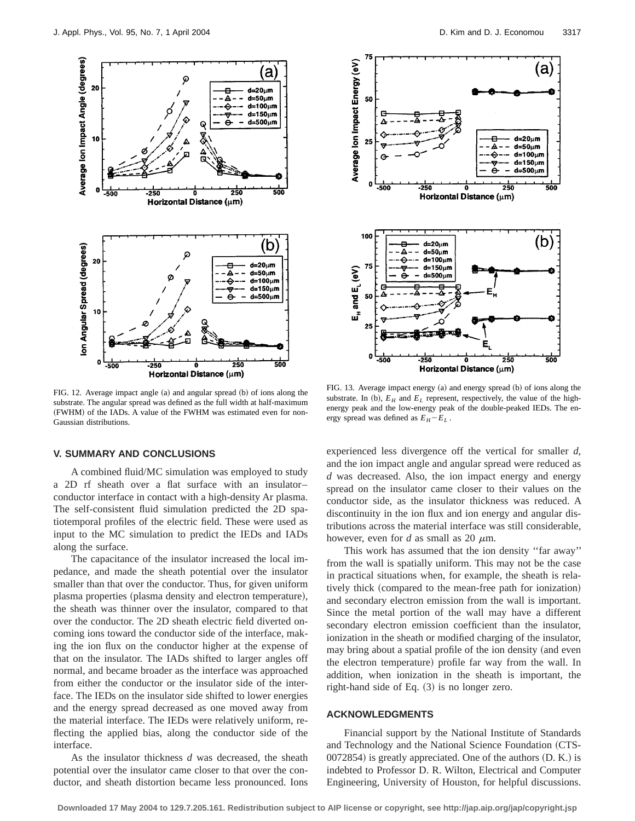

FIG. 12. Average impact angle  $(a)$  and angular spread  $(b)$  of ions along the substrate. The angular spread was defined as the full width at half-maximum (FWHM) of the IADs. A value of the FWHM was estimated even for non-Gaussian distributions.

#### **V. SUMMARY AND CONCLUSIONS**

A combined fluid/MC simulation was employed to study a 2D rf sheath over a flat surface with an insulator– conductor interface in contact with a high-density Ar plasma. The self-consistent fluid simulation predicted the 2D spatiotemporal profiles of the electric field. These were used as input to the MC simulation to predict the IEDs and IADs along the surface.

The capacitance of the insulator increased the local impedance, and made the sheath potential over the insulator smaller than that over the conductor. Thus, for given uniform plasma properties (plasma density and electron temperature), the sheath was thinner over the insulator, compared to that over the conductor. The 2D sheath electric field diverted oncoming ions toward the conductor side of the interface, making the ion flux on the conductor higher at the expense of that on the insulator. The IADs shifted to larger angles off normal, and became broader as the interface was approached from either the conductor or the insulator side of the interface. The IEDs on the insulator side shifted to lower energies and the energy spread decreased as one moved away from the material interface. The IEDs were relatively uniform, reflecting the applied bias, along the conductor side of the interface.

As the insulator thickness *d* was decreased, the sheath potential over the insulator came closer to that over the conductor, and sheath distortion became less pronounced. Ions



FIG. 13. Average impact energy (a) and energy spread (b) of ions along the substrate. In (b),  $E_H$  and  $E_L$  represent, respectively, the value of the highenergy peak and the low-energy peak of the double-peaked IEDs. The energy spread was defined as  $E_H - E_L$ .

experienced less divergence off the vertical for smaller *d*, and the ion impact angle and angular spread were reduced as *d* was decreased. Also, the ion impact energy and energy spread on the insulator came closer to their values on the conductor side, as the insulator thickness was reduced. A discontinuity in the ion flux and ion energy and angular distributions across the material interface was still considerable, however, even for *d* as small as 20  $\mu$ m.

This work has assumed that the ion density ''far away'' from the wall is spatially uniform. This may not be the case in practical situations when, for example, the sheath is relatively thick (compared to the mean-free path for ionization) and secondary electron emission from the wall is important. Since the metal portion of the wall may have a different secondary electron emission coefficient than the insulator, ionization in the sheath or modified charging of the insulator, may bring about a spatial profile of the ion density (and even the electron temperature) profile far way from the wall. In addition, when ionization in the sheath is important, the right-hand side of Eq.  $(3)$  is no longer zero.

#### **ACKNOWLEDGMENTS**

Financial support by the National Institute of Standards and Technology and the National Science Foundation (CTS- $0072854$ ) is greatly appreciated. One of the authors  $(D. K.)$  is indebted to Professor D. R. Wilton, Electrical and Computer Engineering, University of Houston, for helpful discussions.